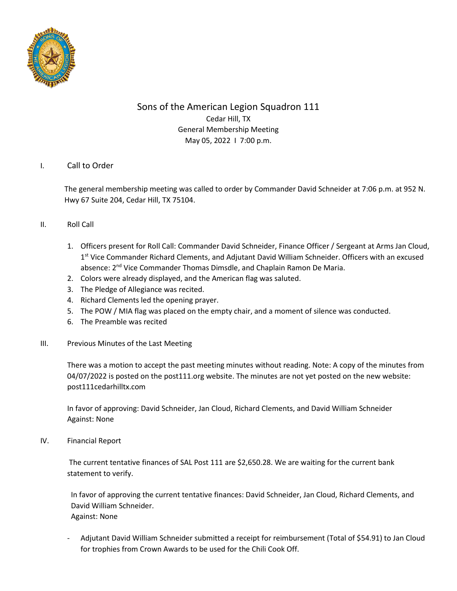

# Sons of the American Legion Squadron 111 Cedar Hill, TX General Membership Meeting May 05, 2022 I 7:00 p.m.

# I. Call to Order

The general membership meeting was called to order by Commander David Schneider at 7:06 p.m. at 952 N. Hwy 67 Suite 204, Cedar Hill, TX 75104.

## II. Roll Call

- 1. Officers present for Roll Call: Commander David Schneider, Finance Officer / Sergeant at Arms Jan Cloud, 1<sup>st</sup> Vice Commander Richard Clements, and Adjutant David William Schneider. Officers with an excused absence: 2<sup>nd</sup> Vice Commander Thomas Dimsdle, and Chaplain Ramon De Maria.
- 2. Colors were already displayed, and the American flag was saluted.
- 3. The Pledge of Allegiance was recited.
- 4. Richard Clements led the opening prayer.
- 5. The POW / MIA flag was placed on the empty chair, and a moment of silence was conducted.
- 6. The Preamble was recited
- III. Previous Minutes of the Last Meeting

There was a motion to accept the past meeting minutes without reading. Note: A copy of the minutes from 04/07/2022 is posted on the post111.org website. The minutes are not yet posted on the new website: post111cedarhilltx.com

In favor of approving: David Schneider, Jan Cloud, Richard Clements, and David William Schneider Against: None

IV. Financial Report

The current tentative finances of SAL Post 111 are \$2,650.28. We are waiting for the current bank statement to verify.

 In favor of approving the current tentative finances: David Schneider, Jan Cloud, Richard Clements, and David William Schneider. Against: None

- Adjutant David William Schneider submitted a receipt for reimbursement (Total of \$54.91) to Jan Cloud for trophies from Crown Awards to be used for the Chili Cook Off.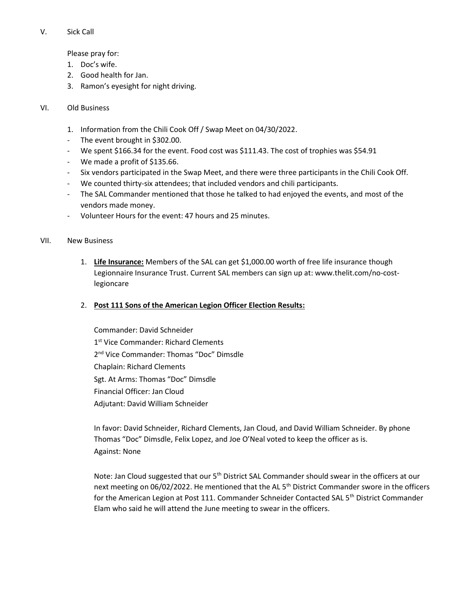#### V. Sick Call

Please pray for:

- 1. Doc's wife.
- 2. Good health for Jan.
- 3. Ramon's eyesight for night driving.

#### VI. Old Business

- 1. Information from the Chili Cook Off / Swap Meet on 04/30/2022.
- The event brought in \$302.00.
- We spent \$166.34 for the event. Food cost was \$111.43. The cost of trophies was \$54.91
- We made a profit of \$135.66.
- Six vendors participated in the Swap Meet, and there were three participants in the Chili Cook Off.
- We counted thirty-six attendees; that included vendors and chili participants.
- The SAL Commander mentioned that those he talked to had enjoyed the events, and most of the vendors made money.
- Volunteer Hours for the event: 47 hours and 25 minutes.

#### VII. New Business

- 1. **Life Insurance:** Members of the SAL can get \$1,000.00 worth of free life insurance though Legionnaire Insurance Trust. Current SAL members can sign up at: www.thelit.com/no-costlegioncare
- 2. **Post 111 Sons of the American Legion Officer Election Results:**
	- Commander: David Schneider 1<sup>st</sup> Vice Commander: Richard Clements 2<sup>nd</sup> Vice Commander: Thomas "Doc" Dimsdle Chaplain: Richard Clements Sgt. At Arms: Thomas "Doc" Dimsdle Financial Officer: Jan Cloud Adjutant: David William Schneider

In favor: David Schneider, Richard Clements, Jan Cloud, and David William Schneider. By phone Thomas "Doc" Dimsdle, Felix Lopez, and Joe O'Neal voted to keep the officer as is. Against: None

Note: Jan Cloud suggested that our 5<sup>th</sup> District SAL Commander should swear in the officers at our next meeting on 06/02/2022. He mentioned that the AL 5<sup>th</sup> District Commander swore in the officers for the American Legion at Post 111. Commander Schneider Contacted SAL 5<sup>th</sup> District Commander Elam who said he will attend the June meeting to swear in the officers.